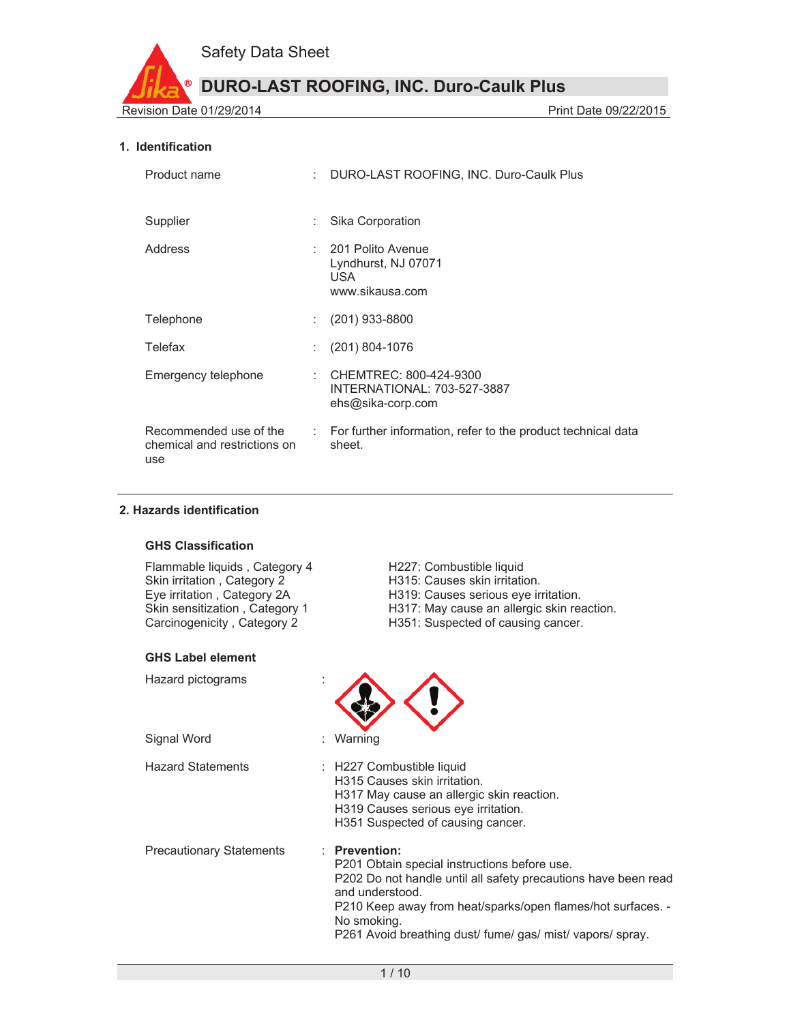**DURO-LAST ROOFING, INC. Duro-Caulk Plus**

Revision Date 01/29/2014 **Print Date 09/22/2015** Print Date 09/22/2015

#### **1. Identification**

| Product name                        | $\mathbb{R}^{\mathbb{Z}}$ | DURO-LAST ROOFING, INC. Duro-Caulk Plus                                                         |
|-------------------------------------|---------------------------|-------------------------------------------------------------------------------------------------|
| Supplier                            |                           | Sika Corporation                                                                                |
| Address                             |                           | 201 Polito Avenue<br>Lyndhurst, NJ 07071<br><b>USA</b><br>www.sikausa.com                       |
| Telephone                           |                           | $(201)$ 933-8800                                                                                |
| Telefax                             |                           | $(201) 804 - 1076$                                                                              |
| Emergency telephone                 |                           | CHEMTREC: 800-424-9300<br>INTERNATIONAL: 703-527-3887<br>ehs@sika-corp.com                      |
| chemical and restrictions on<br>use |                           | Recommended use of the : For further information, refer to the product technical data<br>sheet. |

#### **2. Hazards identification**

#### **GHS Classification**

Flammable liquids, Category 4 H227: Combustible liquid Skin irritation, Category 2 H315: Causes skin irritation.

#### **GHS Label element**

Hazard pictograms :

Signal Word : Warning

Eye irritation, Category 2A H319: Causes serious eye irritation. Skin sensitization , Category 1 H317: May cause an allergic skin reaction.<br>Carcinogenicity , Category 2 H351: Suspected of causing cancer. H351: Suspected of causing cancer.

Hazard Statements : H227 Combustible liquid H315 Causes skin irritation. H317 May cause an allergic skin reaction. H319 Causes serious eye irritation. H351 Suspected of causing cancer.

Precautionary Statements : **Prevention:** 

P201 Obtain special instructions before use. P202 Do not handle until all safety precautions have been read and understood. P210 Keep away from heat/sparks/open flames/hot surfaces. - No smoking. P261 Avoid breathing dust/ fume/ gas/ mist/ vapors/ spray.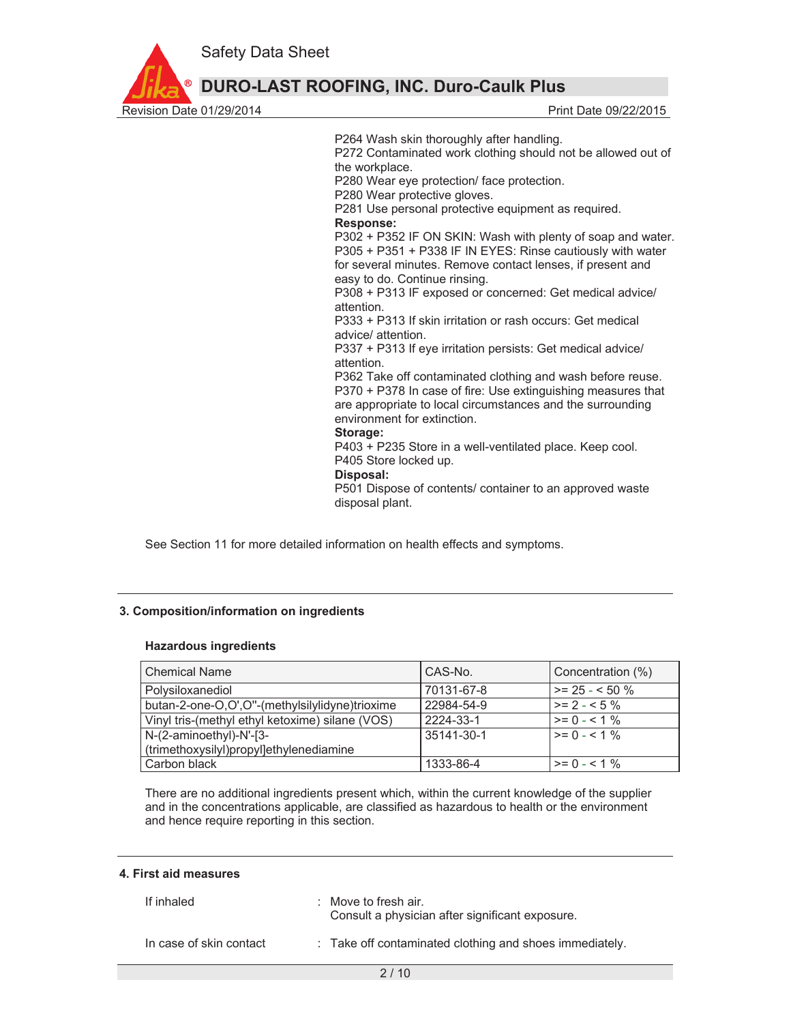

**DURO-LAST ROOFING, INC. Duro-Caulk Plus**

P264 Wash skin thoroughly after handling. P272 Contaminated work clothing should not be allowed out of

the workplace. P280 Wear eye protection/ face protection.

P280 Wear protective gloves.

P281 Use personal protective equipment as required.

#### **Response:**

P302 + P352 IF ON SKIN: Wash with plenty of soap and water. P305 + P351 + P338 IF IN EYES: Rinse cautiously with water for several minutes. Remove contact lenses, if present and easy to do. Continue rinsing.

P308 + P313 IF exposed or concerned: Get medical advice/ attention.

P333 + P313 If skin irritation or rash occurs: Get medical advice/ attention.

P337 + P313 If eye irritation persists: Get medical advice/ attention.

P362 Take off contaminated clothing and wash before reuse. P370 + P378 In case of fire: Use extinguishing measures that are appropriate to local circumstances and the surrounding environment for extinction.

#### **Storage:**

P403 + P235 Store in a well-ventilated place. Keep cool. P405 Store locked up.

#### **Disposal:**

P501 Dispose of contents/ container to an approved waste disposal plant.

See Section 11 for more detailed information on health effects and symptoms.

# **3. Composition/information on ingredients**

#### **Hazardous ingredients**

| Chemical Name                                   | CAS-No.    | Concentration (%)  |
|-------------------------------------------------|------------|--------------------|
| Polysiloxanediol                                | 70131-67-8 | $>= 25 - 50 \%$    |
| butan-2-one-O,O',O"-(methylsilylidyne)trioxime  | 22984-54-9 | $>= 2 - 5\%$       |
| Vinyl tris-(methyl ethyl ketoxime) silane (VOS) | 2224-33-1  | $>= 0 - 1\%$       |
| N-(2-aminoethyl)-N'-[3-                         | 35141-30-1 | $\geq$ = 0 - < 1 % |
| (trimethoxysilyl)propyl]ethylenediamine         |            |                    |
| l Carbon black                                  | 1333-86-4  | $>= 0 - 1 \%$      |

There are no additional ingredients present which, within the current knowledge of the supplier and in the concentrations applicable, are classified as hazardous to health or the environment and hence require reporting in this section.

#### **4. First aid measures**

| If inhaled              | $\therefore$ Move to fresh air.<br>Consult a physician after significant exposure. |
|-------------------------|------------------------------------------------------------------------------------|
| In case of skin contact | : Take off contaminated clothing and shoes immediately.                            |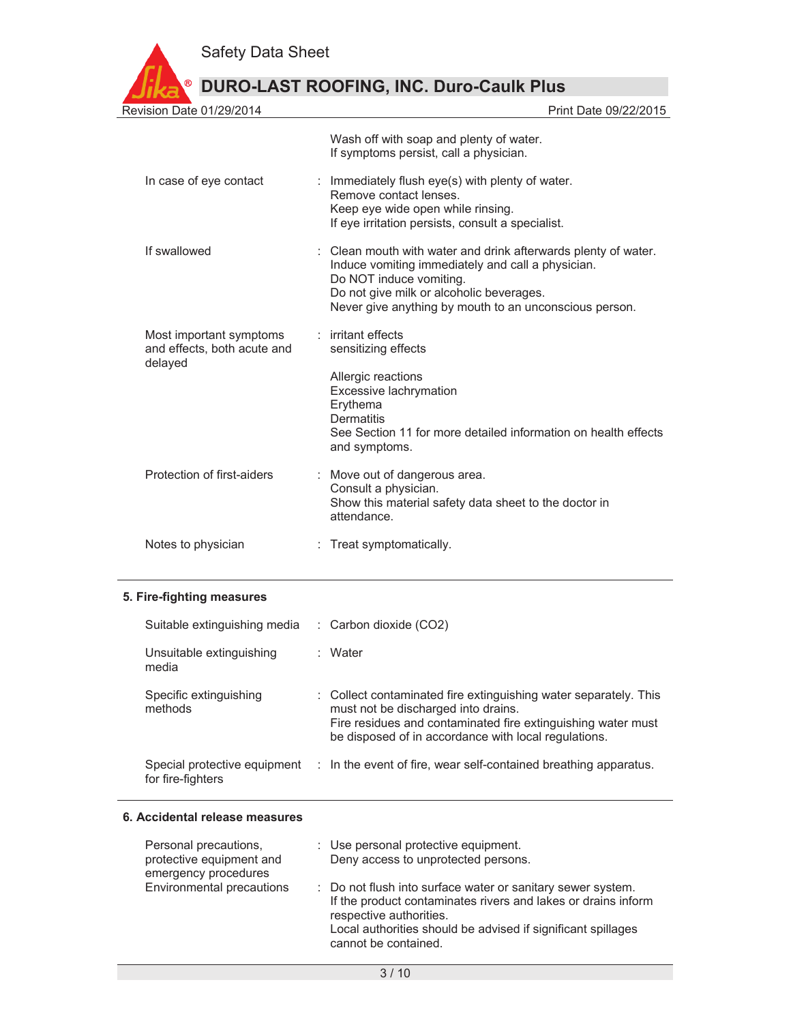|                                                                   | <b>DURO-LAST ROOFING, INC. Duro-Caulk Plus</b>                                                                                                                                                                                                       |
|-------------------------------------------------------------------|------------------------------------------------------------------------------------------------------------------------------------------------------------------------------------------------------------------------------------------------------|
| Revision Date 01/29/2014                                          | Print Date 09/22/2015                                                                                                                                                                                                                                |
|                                                                   | Wash off with soap and plenty of water.<br>If symptoms persist, call a physician.                                                                                                                                                                    |
| In case of eye contact                                            | Immediately flush eye(s) with plenty of water.<br>Remove contact lenses.<br>Keep eye wide open while rinsing.<br>If eye irritation persists, consult a specialist.                                                                                   |
| If swallowed                                                      | : Clean mouth with water and drink afterwards plenty of water.<br>Induce vomiting immediately and call a physician.<br>Do NOT induce vomiting.<br>Do not give milk or alcoholic beverages.<br>Never give anything by mouth to an unconscious person. |
| Most important symptoms<br>and effects, both acute and<br>delayed | $:$ irritant effects<br>sensitizing effects                                                                                                                                                                                                          |
|                                                                   | Allergic reactions<br>Excessive lachrymation<br>Erythema<br>Dermatitis<br>See Section 11 for more detailed information on health effects<br>and symptoms.                                                                                            |
| Protection of first-aiders                                        | Move out of dangerous area.<br>Consult a physician.<br>Show this material safety data sheet to the doctor in<br>attendance.                                                                                                                          |
| Notes to physician                                                | : Treat symptomatically.                                                                                                                                                                                                                             |

# **5. Fire-fighting measures**

| Suitable extinguishing media                      | $\therefore$ Carbon dioxide (CO2)                                                                                                                                                                                               |
|---------------------------------------------------|---------------------------------------------------------------------------------------------------------------------------------------------------------------------------------------------------------------------------------|
| Unsuitable extinguishing<br>media                 | : Water                                                                                                                                                                                                                         |
| Specific extinguishing<br>methods                 | : Collect contaminated fire extinguishing water separately. This<br>must not be discharged into drains.<br>Fire residues and contaminated fire extinguishing water must<br>be disposed of in accordance with local regulations. |
| Special protective equipment<br>for fire-fighters | : In the event of fire, wear self-contained breathing apparatus.                                                                                                                                                                |

## **6. Accidental release measures**

| Personal precautions,<br>protective equipment and<br>emergency procedures | : Use personal protective equipment.<br>Deny access to unprotected persons.                                                                                                                                                                     |
|---------------------------------------------------------------------------|-------------------------------------------------------------------------------------------------------------------------------------------------------------------------------------------------------------------------------------------------|
| <b>Environmental precautions</b>                                          | : Do not flush into surface water or sanitary sewer system.<br>If the product contaminates rivers and lakes or drains inform<br>respective authorities.<br>Local authorities should be advised if significant spillages<br>cannot be contained. |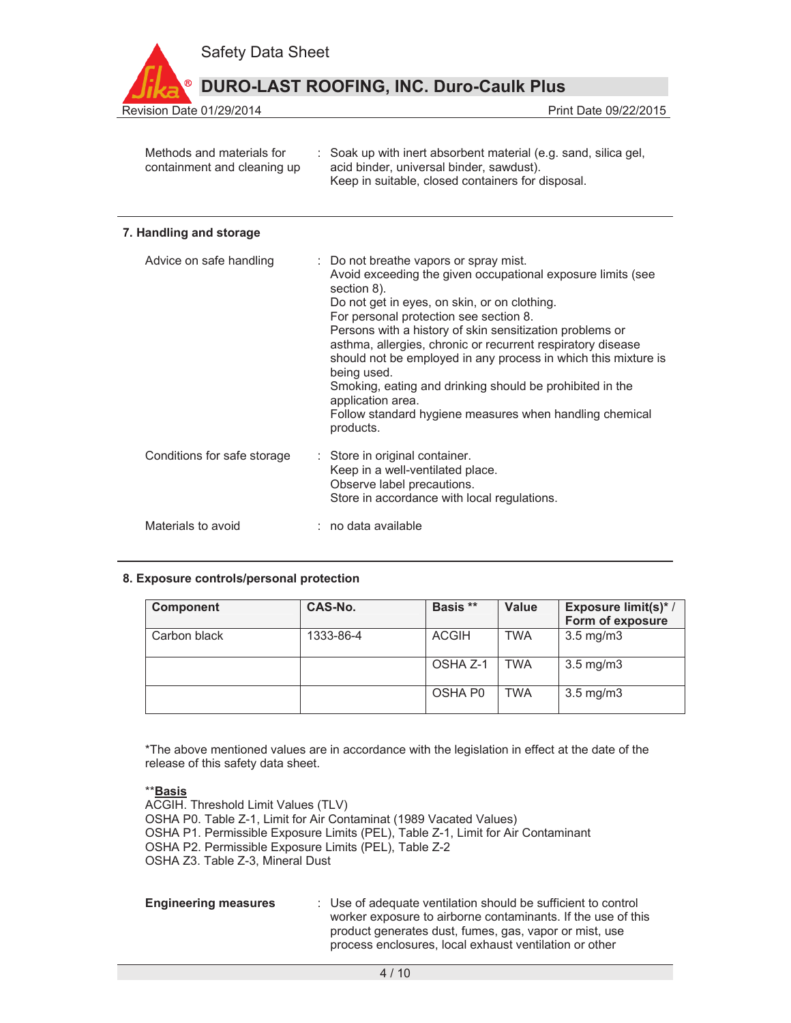

| Methods and materials for   | : Soak up with inert absorbent material (e.g. sand, silica gel, |
|-----------------------------|-----------------------------------------------------------------|
| containment and cleaning up | acid binder, universal binder, sawdust).                        |
|                             | Keep in suitable, closed containers for disposal.               |

#### **7. Handling and storage**

| Advice on safe handling     | : Do not breathe vapors or spray mist.<br>Avoid exceeding the given occupational exposure limits (see<br>section 8).<br>Do not get in eyes, on skin, or on clothing.<br>For personal protection see section 8.<br>Persons with a history of skin sensitization problems or<br>asthma, allergies, chronic or recurrent respiratory disease<br>should not be employed in any process in which this mixture is<br>being used.<br>Smoking, eating and drinking should be prohibited in the<br>application area.<br>Follow standard hygiene measures when handling chemical<br>products. |
|-----------------------------|-------------------------------------------------------------------------------------------------------------------------------------------------------------------------------------------------------------------------------------------------------------------------------------------------------------------------------------------------------------------------------------------------------------------------------------------------------------------------------------------------------------------------------------------------------------------------------------|
| Conditions for safe storage | : Store in original container.<br>Keep in a well-ventilated place.<br>Observe label precautions.<br>Store in accordance with local regulations.                                                                                                                                                                                                                                                                                                                                                                                                                                     |
| Materials to avoid          | : no data available                                                                                                                                                                                                                                                                                                                                                                                                                                                                                                                                                                 |

#### **8. Exposure controls/personal protection**

| <b>Component</b> | CAS-No.   | Basis **     | <b>Value</b> | <b>Exposure limit(s)*/</b><br>Form of exposure |
|------------------|-----------|--------------|--------------|------------------------------------------------|
| Carbon black     | 1333-86-4 | <b>ACGIH</b> | TWA          | $3.5 \text{ mg/m}$                             |
|                  |           | OSHA Z-1     | <b>TWA</b>   | $3.5 \text{ mg/m}$                             |
|                  |           | OSHA P0      | <b>TWA</b>   | $3.5 \text{ mg/m}$                             |

\*The above mentioned values are in accordance with the legislation in effect at the date of the release of this safety data sheet.

#### \*\***Basis**

ACGIH. Threshold Limit Values (TLV) OSHA P0. Table Z-1, Limit for Air Contaminat (1989 Vacated Values) OSHA P1. Permissible Exposure Limits (PEL), Table Z-1, Limit for Air Contaminant OSHA P2. Permissible Exposure Limits (PEL), Table Z-2 OSHA Z3. Table Z-3, Mineral Dust

| <b>Engineering measures</b> | : Use of adequate ventilation should be sufficient to control |  |
|-----------------------------|---------------------------------------------------------------|--|
|                             | worker exposure to airborne contaminants. If the use of this  |  |
|                             | product generates dust, fumes, gas, vapor or mist, use        |  |
|                             | process enclosures, local exhaust ventilation or other        |  |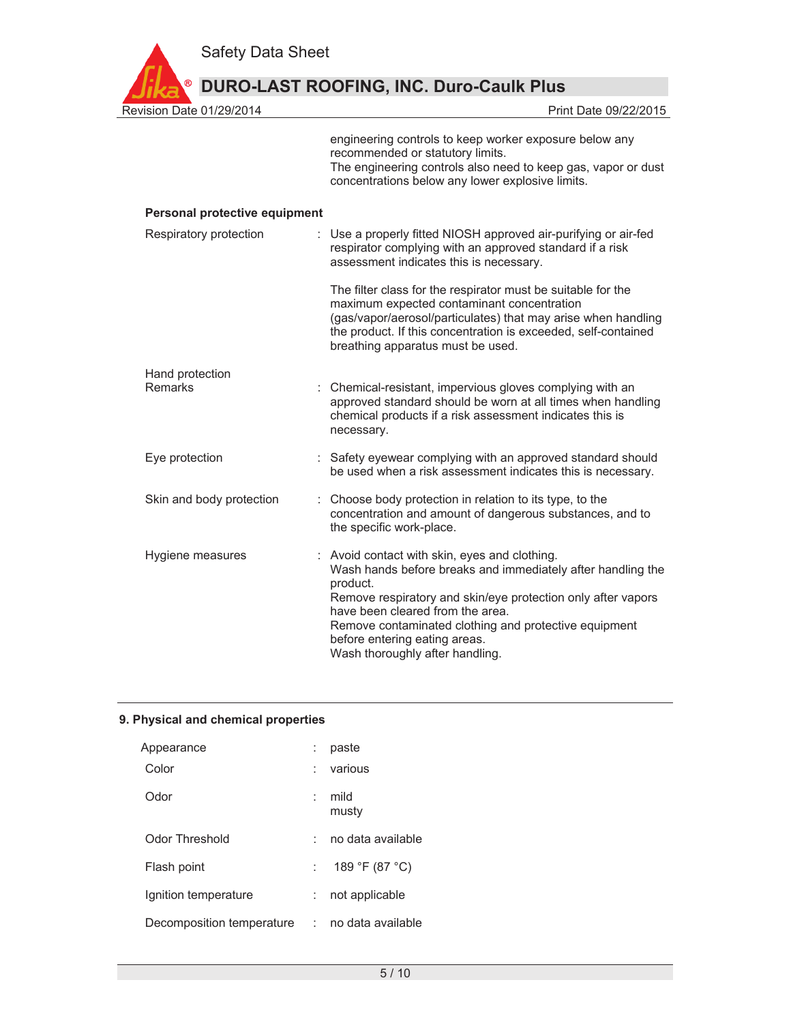

|                               | engineering controls to keep worker exposure below any<br>recommended or statutory limits.<br>The engineering controls also need to keep gas, vapor or dust<br>concentrations below any lower explosive limits.                                                                                                                                         |
|-------------------------------|---------------------------------------------------------------------------------------------------------------------------------------------------------------------------------------------------------------------------------------------------------------------------------------------------------------------------------------------------------|
| Personal protective equipment |                                                                                                                                                                                                                                                                                                                                                         |
| Respiratory protection        | : Use a properly fitted NIOSH approved air-purifying or air-fed<br>respirator complying with an approved standard if a risk<br>assessment indicates this is necessary.                                                                                                                                                                                  |
|                               | The filter class for the respirator must be suitable for the<br>maximum expected contaminant concentration<br>(gas/vapor/aerosol/particulates) that may arise when handling<br>the product. If this concentration is exceeded, self-contained<br>breathing apparatus must be used.                                                                      |
| Hand protection<br>Remarks    | : Chemical-resistant, impervious gloves complying with an<br>approved standard should be worn at all times when handling<br>chemical products if a risk assessment indicates this is<br>necessary.                                                                                                                                                      |
| Eye protection                | : Safety eyewear complying with an approved standard should<br>be used when a risk assessment indicates this is necessary.                                                                                                                                                                                                                              |
| Skin and body protection      | : Choose body protection in relation to its type, to the<br>concentration and amount of dangerous substances, and to<br>the specific work-place.                                                                                                                                                                                                        |
| Hygiene measures              | Avoid contact with skin, eyes and clothing.<br>Wash hands before breaks and immediately after handling the<br>product.<br>Remove respiratory and skin/eye protection only after vapors<br>have been cleared from the area.<br>Remove contaminated clothing and protective equipment<br>before entering eating areas.<br>Wash thoroughly after handling. |

# **9. Physical and chemical properties**

| Appearance                |    | paste             |
|---------------------------|----|-------------------|
| Color                     |    | various           |
| Odor                      |    | mild<br>musty     |
| Odor Threshold            |    | no data available |
| Flash point               | t. | 189 °F (87 °C)    |
| Ignition temperature      |    | not applicable    |
| Decomposition temperature | ÷. | no data available |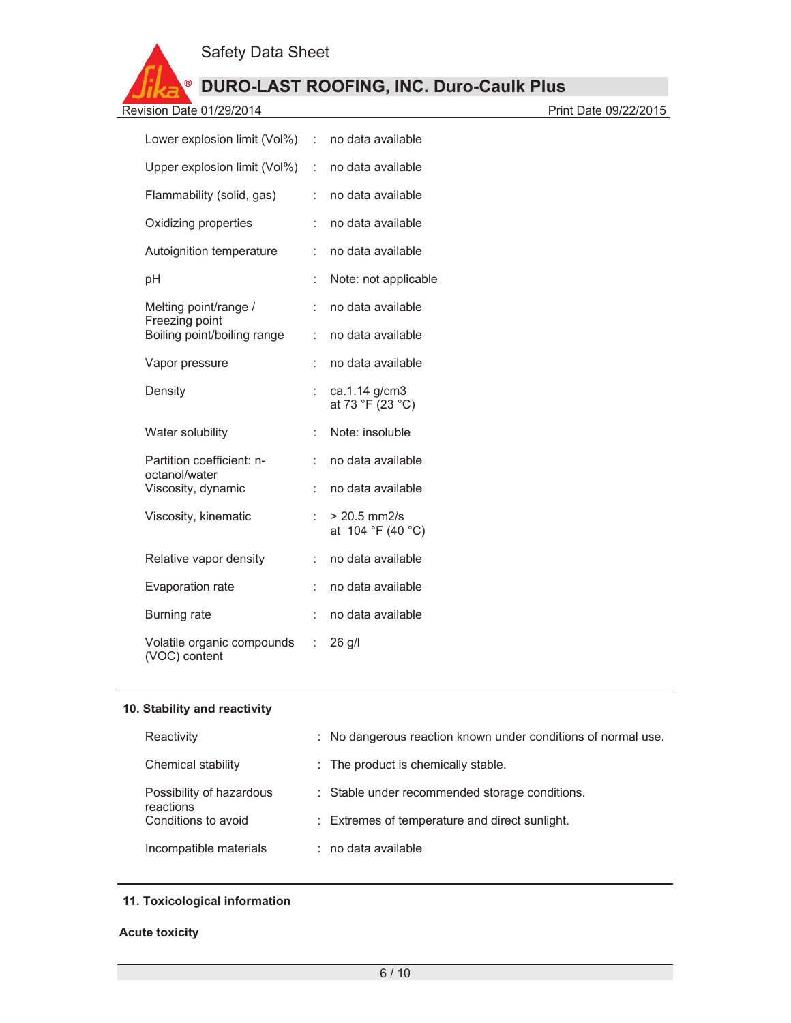

**DURO-LAST ROOFING, INC. Duro-Caulk Plus**

| Lower explosion limit (Vol%) :                |                      | no data available                   |
|-----------------------------------------------|----------------------|-------------------------------------|
| Upper explosion limit (Vol%)                  | $\mathbf{r}$         | no data available                   |
| Flammability (solid, gas)                     | t                    | no data available                   |
| Oxidizing properties                          |                      | no data available                   |
| Autoignition temperature                      | t                    | no data available                   |
| рH                                            |                      | Note: not applicable                |
| Melting point/range /<br>Freezing point       | t                    | no data available                   |
| Boiling point/boiling range                   | ÷.                   | no data available                   |
| Vapor pressure                                | t.                   | no data available                   |
| Density                                       |                      | ca.1.14 g/cm3<br>at 73 °F (23 °C)   |
| Water solubility                              |                      | Note: insoluble                     |
| Partition coefficient: n-<br>octanol/water    | ÷                    | no data available                   |
| Viscosity, dynamic                            |                      | no data available                   |
| Viscosity, kinematic                          | $\ddot{\cdot}$       | $> 20.5$ mm2/s<br>at 104 °F (40 °C) |
| Relative vapor density                        | t.                   | no data available                   |
| Evaporation rate                              | $\ddot{\phantom{a}}$ | no data available                   |
| <b>Burning rate</b>                           | $\ddot{\phantom{a}}$ | no data available                   |
| Volatile organic compounds :<br>(VOC) content |                      | 26 g/l                              |

# **10. Stability and reactivity**

| Reactivity                            | : No dangerous reaction known under conditions of normal use. |
|---------------------------------------|---------------------------------------------------------------|
| Chemical stability                    | : The product is chemically stable.                           |
| Possibility of hazardous<br>reactions | : Stable under recommended storage conditions.                |
| Conditions to avoid                   | : Extremes of temperature and direct sunlight.                |
| Incompatible materials                | $:$ no data available                                         |

# **11. Toxicological information**

## **Acute toxicity**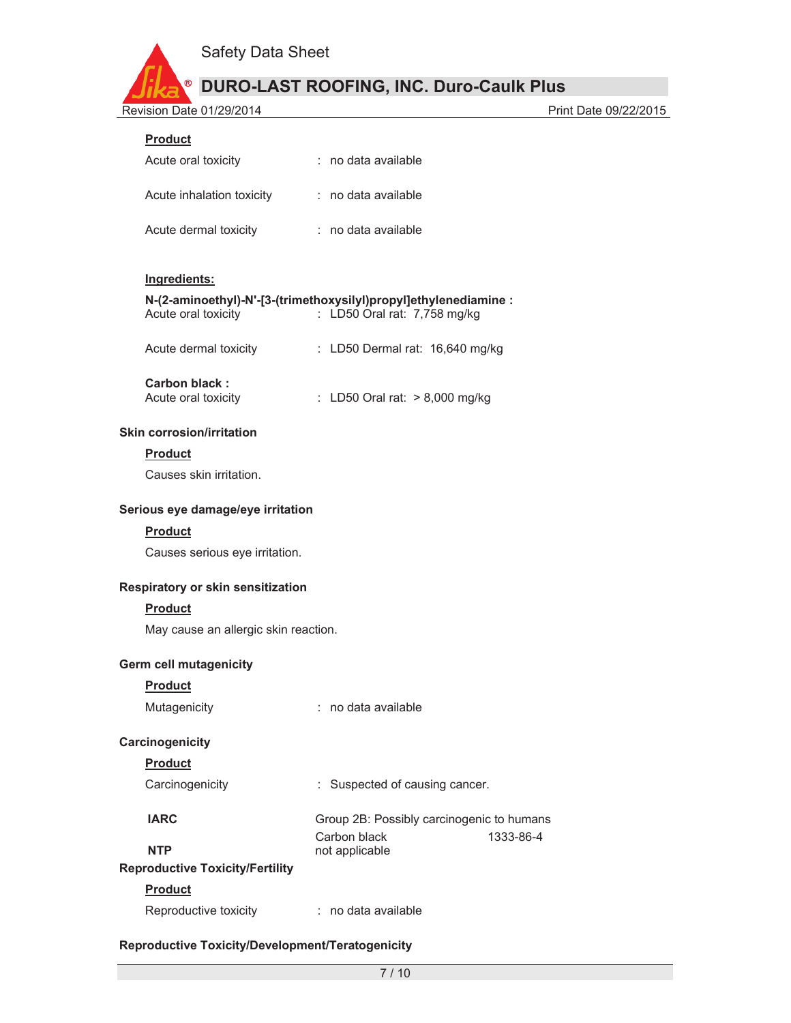

**DURO-LAST ROOFING, INC. Duro-Caulk Plus**

# **Product**

| Acute oral toxicity       | : no data available |
|---------------------------|---------------------|
| Acute inhalation toxicity | : no data available |
| Acute dermal toxicity     | : no data available |

# **Ingredients:**

# **N-(2-aminoethyl)-N'-[3-(trimethoxysilyl)propyl]ethylenediamine :**  Acute oral toxicity : LD50 Oral rat: 7,758 mg/kg

| Acute dermal toxicity |  | : LD50 Dermal rat: 16,640 mg/kg |  |
|-----------------------|--|---------------------------------|--|
|-----------------------|--|---------------------------------|--|

# **Carbon black :**

| 9418911819911.      |                                |  |  |
|---------------------|--------------------------------|--|--|
| Acute oral toxicity | : LD50 Oral rat: > 8,000 mg/kg |  |  |

## **Skin corrosion/irritation**

## **Product**

Causes skin irritation.

#### **Serious eye damage/eye irritation**

#### **Product**

Causes serious eye irritation.

# **Respiratory or skin sensitization**

# **Product**

May cause an allergic skin reaction.

# **Germ cell mutagenicity**

# **Product**

| Mutagenicity | no data available |
|--------------|-------------------|
|              |                   |

# **Carcinogenicity**

# **Product**

| Carcinogenicity | : Suspected of causing cancer. |
|-----------------|--------------------------------|
|                 |                                |

**IARC** Group 2B: Possibly carcinogenic to humans

Carbon black 1333-86-4<br>
not applicable the contract of the number of the contract of the contract of the contract of the Carbon black<br>
not applicable the contract of the contract of the contract of the contract of the cont not applicable

# **Reproductive Toxicity/Fertility**

# **Product**

Reproductive toxicity : no data available

# **Reproductive Toxicity/Development/Teratogenicity**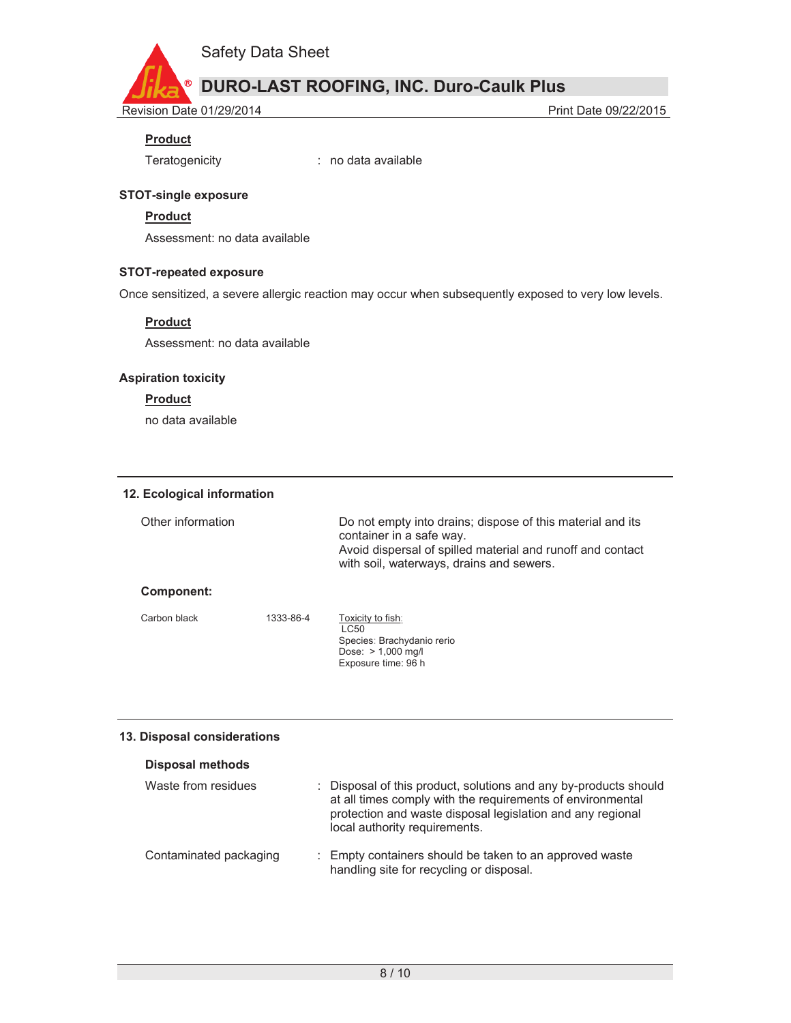

**DURO-LAST ROOFING, INC. Duro-Caulk Plus**

# **Product**

Teratogenicity : no data available

## **STOT-single exposure**

# **Product**

Assessment: no data available

## **STOT-repeated exposure**

Once sensitized, a severe allergic reaction may occur when subsequently exposed to very low levels.

# **Product**

Assessment: no data available

## **Aspiration toxicity**

## **Product**

no data available

## **12. Ecological information**

| Other information |           | Do not empty into drains; dispose of this material and its<br>container in a safe way.<br>Avoid dispersal of spilled material and runoff and contact<br>with soil, waterways, drains and sewers. |
|-------------------|-----------|--------------------------------------------------------------------------------------------------------------------------------------------------------------------------------------------------|
| Component:        |           |                                                                                                                                                                                                  |
| Carbon black      | 1333-86-4 | Toxicity to fish:<br>LC50<br>Species: Brachydanio rerio<br>Dose: $> 1,000$ mg/l<br>Exposure time: 96 h                                                                                           |

## **13. Disposal considerations**

| <b>Disposal methods</b> |                                                                                                                                                                                                                               |
|-------------------------|-------------------------------------------------------------------------------------------------------------------------------------------------------------------------------------------------------------------------------|
| Waste from residues     | : Disposal of this product, solutions and any by-products should<br>at all times comply with the requirements of environmental<br>protection and waste disposal legislation and any regional<br>local authority requirements. |
| Contaminated packaging  | : Empty containers should be taken to an approved waste<br>handling site for recycling or disposal.                                                                                                                           |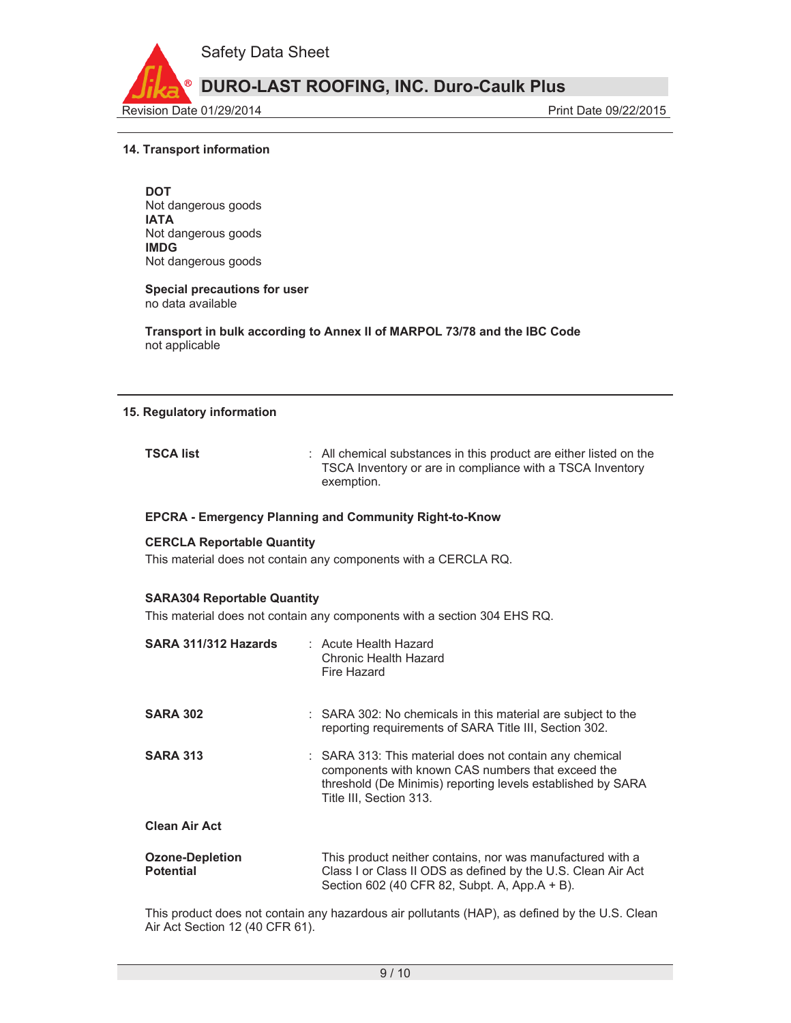

#### **14. Transport information**

**DOT** Not dangerous goods **IATA**  Not dangerous goods **IMDG**  Not dangerous goods

#### **Special precautions for user** no data available

**Transport in bulk according to Annex II of MARPOL 73/78 and the IBC Code**  not applicable

#### **15. Regulatory information**

**TSCA list** : All chemical substances in this product are either listed on the TSCA Inventory or are in compliance with a TSCA Inventory exemption.

#### **EPCRA - Emergency Planning and Community Right-to-Know**

#### **CERCLA Reportable Quantity**

This material does not contain any components with a CERCLA RQ.

#### **SARA304 Reportable Quantity**

This material does not contain any components with a section 304 EHS RQ.

| SARA 311/312 Hazards                       | : Acute Health Hazard<br>Chronic Health Hazard<br>Fire Hazard                                                                                                                                          |
|--------------------------------------------|--------------------------------------------------------------------------------------------------------------------------------------------------------------------------------------------------------|
| <b>SARA 302</b>                            | : SARA 302: No chemicals in this material are subject to the<br>reporting requirements of SARA Title III, Section 302.                                                                                 |
| <b>SARA 313</b>                            | : SARA 313: This material does not contain any chemical<br>components with known CAS numbers that exceed the<br>threshold (De Minimis) reporting levels established by SARA<br>Title III, Section 313. |
| <b>Clean Air Act</b>                       |                                                                                                                                                                                                        |
| <b>Ozone-Depletion</b><br><b>Potential</b> | This product neither contains, nor was manufactured with a<br>Class I or Class II ODS as defined by the U.S. Clean Air Act<br>Section 602 (40 CFR 82, Subpt. A, App.A + B).                            |

This product does not contain any hazardous air pollutants (HAP), as defined by the U.S. Clean Air Act Section 12 (40 CFR 61).